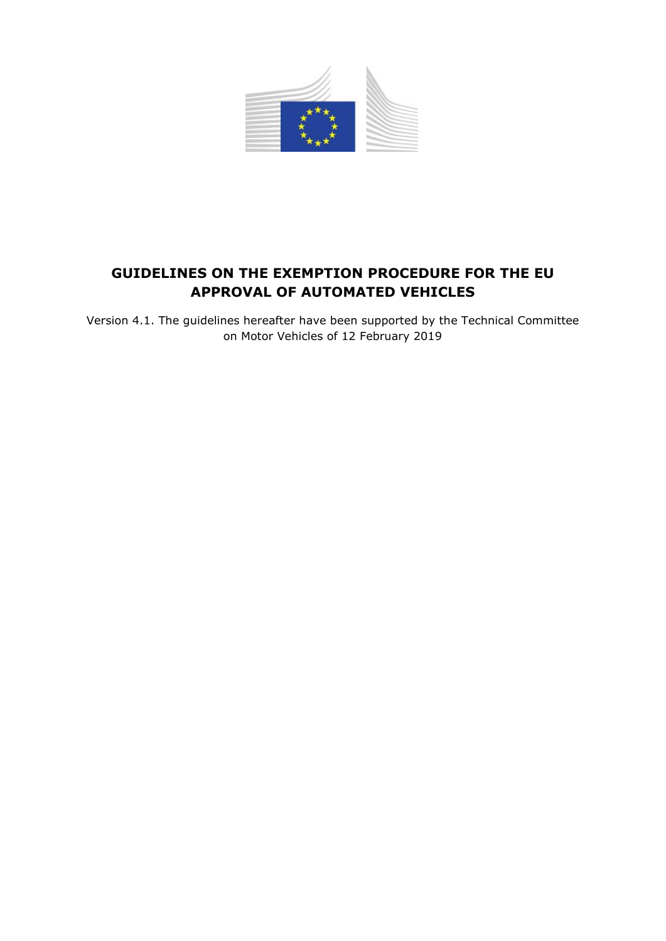

# **GUIDELINES ON THE EXEMPTION PROCEDURE FOR THE EU APPROVAL OF AUTOMATED VEHICLES**

Version 4.1. The guidelines hereafter have been supported by the Technical Committee on Motor Vehicles of 12 February 2019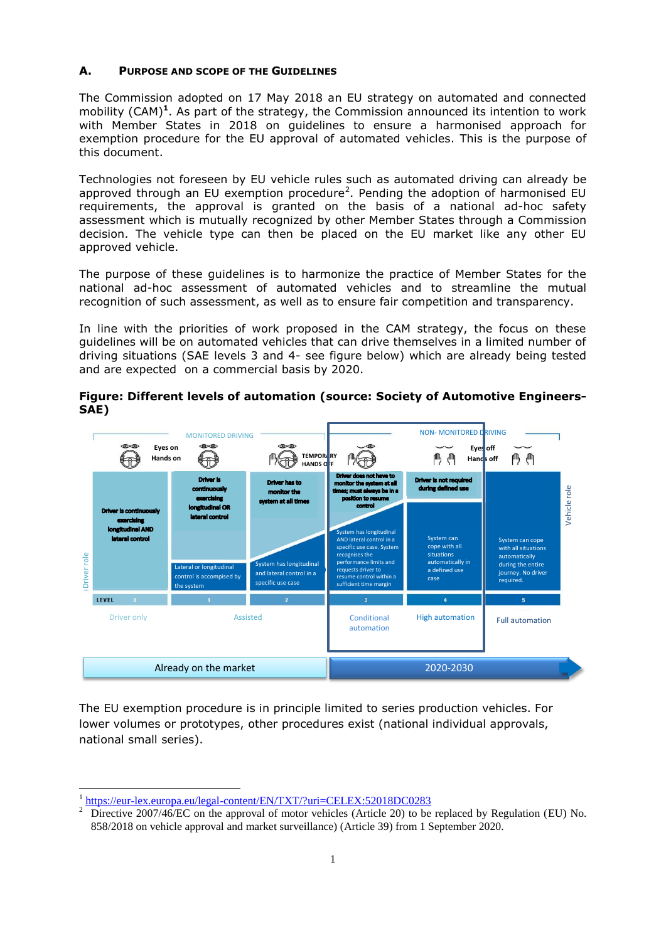#### **A. PURPOSE AND SCOPE OF THE GUIDELINES**

The Commission adopted on 17 May 2018 an EU strategy on automated and connected mobility (CAM)**<sup>1</sup>** . As part of the strategy, the Commission announced its intention to work with Member States in 2018 on guidelines to ensure a harmonised approach for exemption procedure for the EU approval of automated vehicles. This is the purpose of this document.

Technologies not foreseen by EU vehicle rules such as automated driving can already be approved through an EU exemption procedure<sup>2</sup>. Pending the adoption of harmonised EU requirements, the approval is granted on the basis of a national ad-hoc safety assessment which is mutually recognized by other Member States through a Commission decision. The vehicle type can then be placed on the EU market like any other EU approved vehicle.

The purpose of these guidelines is to harmonize the practice of Member States for the national ad-hoc assessment of automated vehicles and to streamline the mutual recognition of such assessment, as well as to ensure fair competition and transparency.

In line with the priorities of work proposed in the CAM strategy, the focus on these guidelines will be on automated vehicles that can drive themselves in a limited number of driving situations (SAE levels 3 and 4- see figure below) which are already being tested and are expected on a commercial basis by 2020.



**Figure: Different levels of automation (source: Society of Automotive Engineers-SAE)**

The EU exemption procedure is in principle limited to series production vehicles. For lower volumes or prototypes, other procedures exist (national individual approvals, national small series).

 $\overline{a}$ 

<sup>1</sup> <https://eur-lex.europa.eu/legal-content/EN/TXT/?uri=CELEX:52018DC0283>

<sup>&</sup>lt;sup>2</sup> Directive 2007/46/EC on the approval of motor vehicles (Article 20) to be replaced by Regulation (EU) No. 858/2018 on vehicle approval and market surveillance) (Article 39) from 1 September 2020.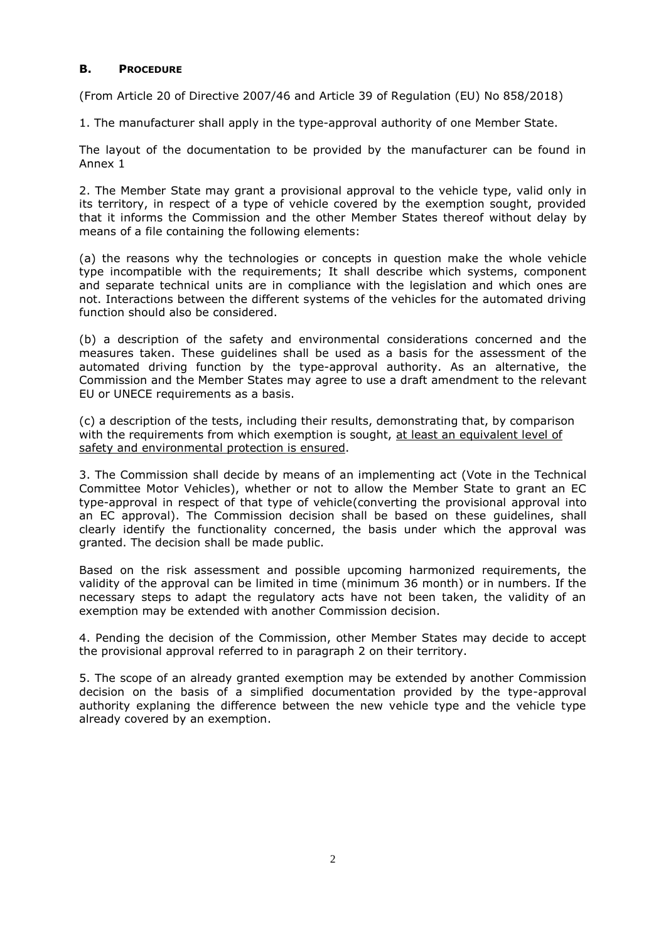### **B. PROCEDURE**

(From Article 20 of Directive 2007/46 and Article 39 of Regulation (EU) No 858/2018)

1. The manufacturer shall apply in the type-approval authority of one Member State.

The layout of the documentation to be provided by the manufacturer can be found in Annex 1

2. The Member State may grant a provisional approval to the vehicle type, valid only in its territory, in respect of a type of vehicle covered by the exemption sought, provided that it informs the Commission and the other Member States thereof without delay by means of a file containing the following elements:

(a) the reasons why the technologies or concepts in question make the whole vehicle type incompatible with the requirements; It shall describe which systems, component and separate technical units are in compliance with the legislation and which ones are not. Interactions between the different systems of the vehicles for the automated driving function should also be considered.

(b) a description of the safety and environmental considerations concerned and the measures taken. These guidelines shall be used as a basis for the assessment of the automated driving function by the type-approval authority. As an alternative, the Commission and the Member States may agree to use a draft amendment to the relevant EU or UNECE requirements as a basis.

(c) a description of the tests, including their results, demonstrating that, by comparison with the requirements from which exemption is sought, at least an equivalent level of safety and environmental protection is ensured.

3. The Commission shall decide by means of an implementing act (Vote in the Technical Committee Motor Vehicles), whether or not to allow the Member State to grant an EC type-approval in respect of that type of vehicle(converting the provisional approval into an EC approval). The Commission decision shall be based on these guidelines, shall clearly identify the functionality concerned, the basis under which the approval was granted. The decision shall be made public.

Based on the risk assessment and possible upcoming harmonized requirements, the validity of the approval can be limited in time (minimum 36 month) or in numbers. If the necessary steps to adapt the regulatory acts have not been taken, the validity of an exemption may be extended with another Commission decision.

4. Pending the decision of the Commission, other Member States may decide to accept the provisional approval referred to in paragraph 2 on their territory.

5. The scope of an already granted exemption may be extended by another Commission decision on the basis of a simplified documentation provided by the type-approval authority explaning the difference between the new vehicle type and the vehicle type already covered by an exemption.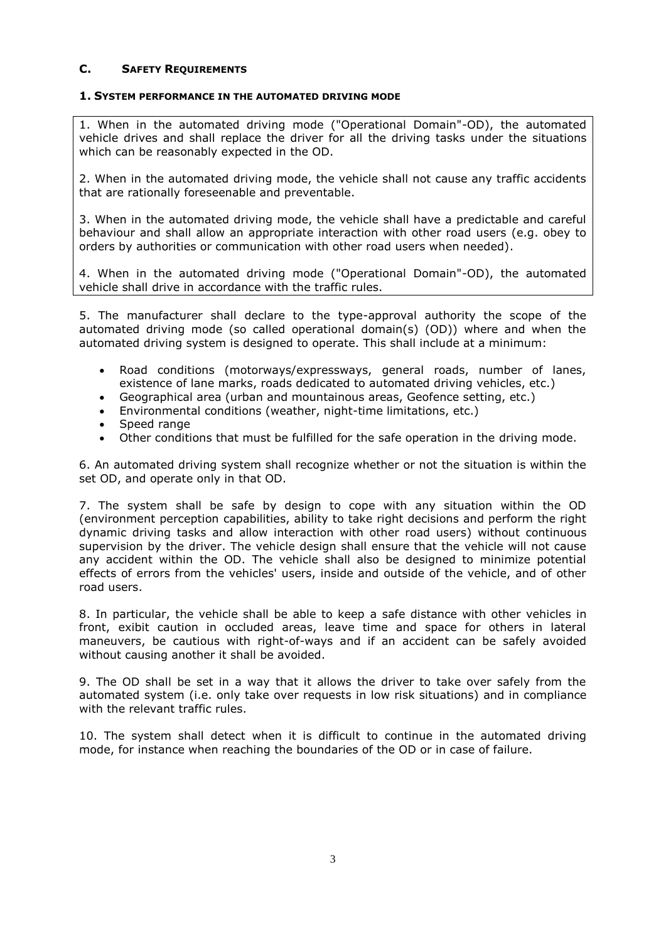### **C. SAFETY REQUIREMENTS**

#### **1. SYSTEM PERFORMANCE IN THE AUTOMATED DRIVING MODE**

1. When in the automated driving mode ("Operational Domain"-OD), the automated vehicle drives and shall replace the driver for all the driving tasks under the situations which can be reasonably expected in the OD.

2. When in the automated driving mode, the vehicle shall not cause any traffic accidents that are rationally foreseenable and preventable.

3. When in the automated driving mode, the vehicle shall have a predictable and careful behaviour and shall allow an appropriate interaction with other road users (e.g. obey to orders by authorities or communication with other road users when needed).

4. When in the automated driving mode ("Operational Domain"-OD), the automated vehicle shall drive in accordance with the traffic rules.

5. The manufacturer shall declare to the type-approval authority the scope of the automated driving mode (so called operational domain(s) (OD)) where and when the automated driving system is designed to operate. This shall include at a minimum:

- Road conditions (motorways/expressways, general roads, number of lanes, existence of lane marks, roads dedicated to automated driving vehicles, etc.)
- Geographical area (urban and mountainous areas, Geofence setting, etc.)
- Environmental conditions (weather, night-time limitations, etc.)
- Speed range
- Other conditions that must be fulfilled for the safe operation in the driving mode.

6. An automated driving system shall recognize whether or not the situation is within the set OD, and operate only in that OD.

7. The system shall be safe by design to cope with any situation within the OD (environment perception capabilities, ability to take right decisions and perform the right dynamic driving tasks and allow interaction with other road users) without continuous supervision by the driver. The vehicle design shall ensure that the vehicle will not cause any accident within the OD. The vehicle shall also be designed to minimize potential effects of errors from the vehicles' users, inside and outside of the vehicle, and of other road users.

8. In particular, the vehicle shall be able to keep a safe distance with other vehicles in front, exibit caution in occluded areas, leave time and space for others in lateral maneuvers, be cautious with right-of-ways and if an accident can be safely avoided without causing another it shall be avoided.

9. The OD shall be set in a way that it allows the driver to take over safely from the automated system (i.e. only take over requests in low risk situations) and in compliance with the relevant traffic rules.

10. The system shall detect when it is difficult to continue in the automated driving mode, for instance when reaching the boundaries of the OD or in case of failure.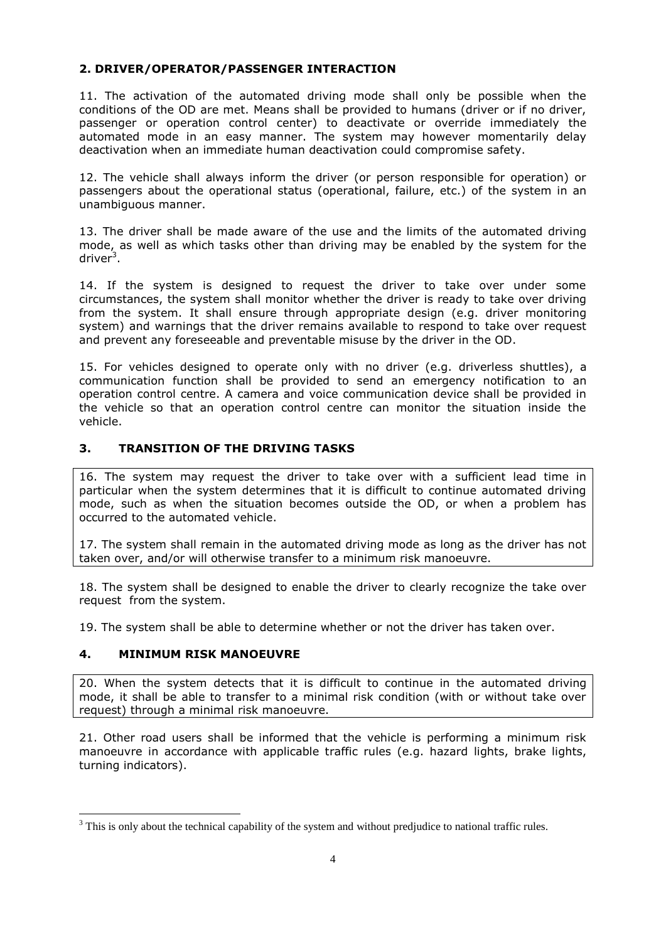### **2. DRIVER/OPERATOR/PASSENGER INTERACTION**

11. The activation of the automated driving mode shall only be possible when the conditions of the OD are met. Means shall be provided to humans (driver or if no driver, passenger or operation control center) to deactivate or override immediately the automated mode in an easy manner. The system may however momentarily delay deactivation when an immediate human deactivation could compromise safety.

12. The vehicle shall always inform the driver (or person responsible for operation) or passengers about the operational status (operational, failure, etc.) of the system in an unambiguous manner.

13. The driver shall be made aware of the use and the limits of the automated driving mode, as well as which tasks other than driving may be enabled by the system for the driver<sup>3</sup>.

14. If the system is designed to request the driver to take over under some circumstances, the system shall monitor whether the driver is ready to take over driving from the system. It shall ensure through appropriate design (e.g. driver monitoring system) and warnings that the driver remains available to respond to take over request and prevent any foreseeable and preventable misuse by the driver in the OD.

15. For vehicles designed to operate only with no driver (e.g. driverless shuttles), a communication function shall be provided to send an emergency notification to an operation control centre. A camera and voice communication device shall be provided in the vehicle so that an operation control centre can monitor the situation inside the vehicle.

### **3. TRANSITION OF THE DRIVING TASKS**

16. The system may request the driver to take over with a sufficient lead time in particular when the system determines that it is difficult to continue automated driving mode, such as when the situation becomes outside the OD, or when a problem has occurred to the automated vehicle.

17. The system shall remain in the automated driving mode as long as the driver has not taken over, and/or will otherwise transfer to a minimum risk manoeuvre.

18. The system shall be designed to enable the driver to clearly recognize the take over request from the system.

19. The system shall be able to determine whether or not the driver has taken over.

# **4. MINIMUM RISK MANOEUVRE**

**.** 

20. When the system detects that it is difficult to continue in the automated driving mode, it shall be able to transfer to a minimal risk condition (with or without take over request) through a minimal risk manoeuvre.

21. Other road users shall be informed that the vehicle is performing a minimum risk manoeuvre in accordance with applicable traffic rules (e.g. hazard lights, brake lights, turning indicators).

 $3$  This is only about the technical capability of the system and without predjudice to national traffic rules.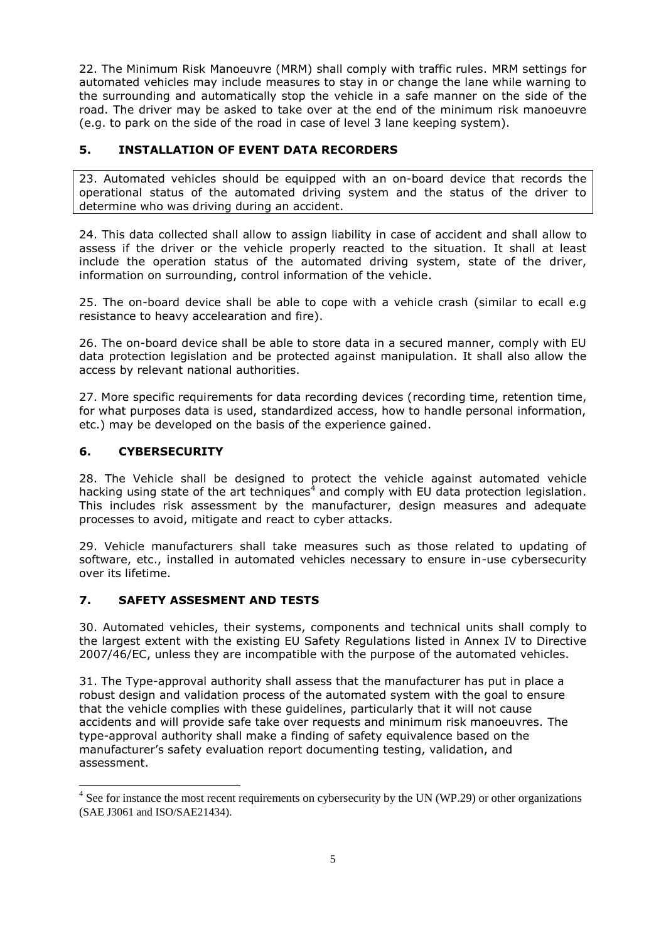22. The Minimum Risk Manoeuvre (MRM) shall comply with traffic rules. MRM settings for automated vehicles may include measures to stay in or change the lane while warning to the surrounding and automatically stop the vehicle in a safe manner on the side of the road. The driver may be asked to take over at the end of the minimum risk manoeuvre (e.g. to park on the side of the road in case of level 3 lane keeping system).

# **5. INSTALLATION OF EVENT DATA RECORDERS**

23. Automated vehicles should be equipped with an on-board device that records the operational status of the automated driving system and the status of the driver to determine who was driving during an accident.

24. This data collected shall allow to assign liability in case of accident and shall allow to assess if the driver or the vehicle properly reacted to the situation. It shall at least include the operation status of the automated driving system, state of the driver, information on surrounding, control information of the vehicle.

25. The on-board device shall be able to cope with a vehicle crash (similar to ecall e.g resistance to heavy accelearation and fire).

26. The on-board device shall be able to store data in a secured manner, comply with EU data protection legislation and be protected against manipulation. It shall also allow the access by relevant national authorities.

27. More specific requirements for data recording devices (recording time, retention time, for what purposes data is used, standardized access, how to handle personal information, etc.) may be developed on the basis of the experience gained.

# **6. CYBERSECURITY**

**.** 

28. The Vehicle shall be designed to protect the vehicle against automated vehicle hacking using state of the art techniques<sup>4</sup> and comply with EU data protection legislation. This includes risk assessment by the manufacturer, design measures and adequate processes to avoid, mitigate and react to cyber attacks.

29. Vehicle manufacturers shall take measures such as those related to updating of software, etc., installed in automated vehicles necessary to ensure in-use cybersecurity over its lifetime.

# **7. SAFETY ASSESMENT AND TESTS**

30. Automated vehicles, their systems, components and technical units shall comply to the largest extent with the existing EU Safety Regulations listed in Annex IV to Directive 2007/46/EC, unless they are incompatible with the purpose of the automated vehicles.

31. The Type-approval authority shall assess that the manufacturer has put in place a robust design and validation process of the automated system with the goal to ensure that the vehicle complies with these guidelines, particularly that it will not cause accidents and will provide safe take over requests and minimum risk manoeuvres. The type-approval authority shall make a finding of safety equivalence based on the manufacturer's safety evaluation report documenting testing, validation, and assessment.

 $4$  See for instance the most recent requirements on cybersecurity by the UN (WP.29) or other organizations (SAE J3061 and ISO/SAE21434).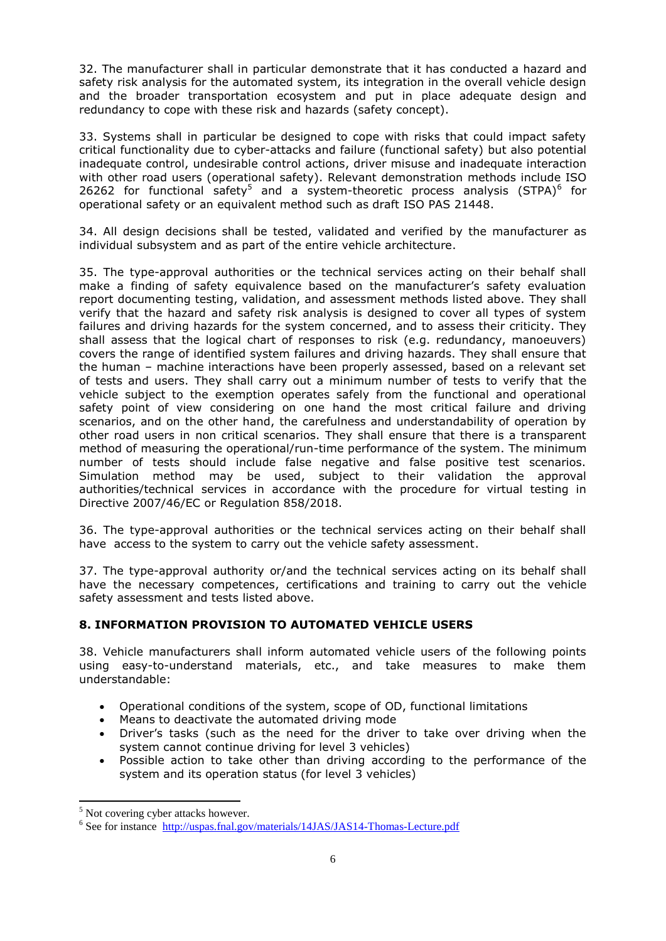32. The manufacturer shall in particular demonstrate that it has conducted a hazard and safety risk analysis for the automated system, its integration in the overall vehicle design and the broader transportation ecosystem and put in place adequate design and redundancy to cope with these risk and hazards (safety concept).

33. Systems shall in particular be designed to cope with risks that could impact safety critical functionality due to cyber-attacks and failure (functional safety) but also potential inadequate control, undesirable control actions, driver misuse and inadequate interaction with other road users (operational safety). Relevant demonstration methods include ISO 26262 for functional safety<sup>5</sup> and a system-theoretic process analysis (STPA)<sup>6</sup> for operational safety or an equivalent method such as draft ISO PAS 21448.

34. All design decisions shall be tested, validated and verified by the manufacturer as individual subsystem and as part of the entire vehicle architecture.

35. The type-approval authorities or the technical services acting on their behalf shall make a finding of safety equivalence based on the manufacturer's safety evaluation report documenting testing, validation, and assessment methods listed above. They shall verify that the hazard and safety risk analysis is designed to cover all types of system failures and driving hazards for the system concerned, and to assess their criticity. They shall assess that the logical chart of responses to risk (e.g. redundancy, manoeuvers) covers the range of identified system failures and driving hazards. They shall ensure that the human – machine interactions have been properly assessed, based on a relevant set of tests and users. They shall carry out a minimum number of tests to verify that the vehicle subject to the exemption operates safely from the functional and operational safety point of view considering on one hand the most critical failure and driving scenarios, and on the other hand, the carefulness and understandability of operation by other road users in non critical scenarios. They shall ensure that there is a transparent method of measuring the operational/run-time performance of the system. The minimum number of tests should include false negative and false positive test scenarios. Simulation method may be used, subject to their validation the approval authorities/technical services in accordance with the procedure for virtual testing in Directive 2007/46/EC or Regulation 858/2018.

36. The type-approval authorities or the technical services acting on their behalf shall have access to the system to carry out the vehicle safety assessment.

37. The type-approval authority or/and the technical services acting on its behalf shall have the necessary competences, certifications and training to carry out the vehicle safety assessment and tests listed above.

# **8. INFORMATION PROVISION TO AUTOMATED VEHICLE USERS**

38. Vehicle manufacturers shall inform automated vehicle users of the following points using easy-to-understand materials, etc., and take measures to make them understandable:

- Operational conditions of the system, scope of OD, functional limitations
- Means to deactivate the automated driving mode
- Driver's tasks (such as the need for the driver to take over driving when the system cannot continue driving for level 3 vehicles)
- Possible action to take other than driving according to the performance of the system and its operation status (for level 3 vehicles)

**.** 

<sup>&</sup>lt;sup>5</sup> Not covering cyber attacks however.

<sup>&</sup>lt;sup>6</sup> See for instance <http://uspas.fnal.gov/materials/14JAS/JAS14-Thomas-Lecture.pdf>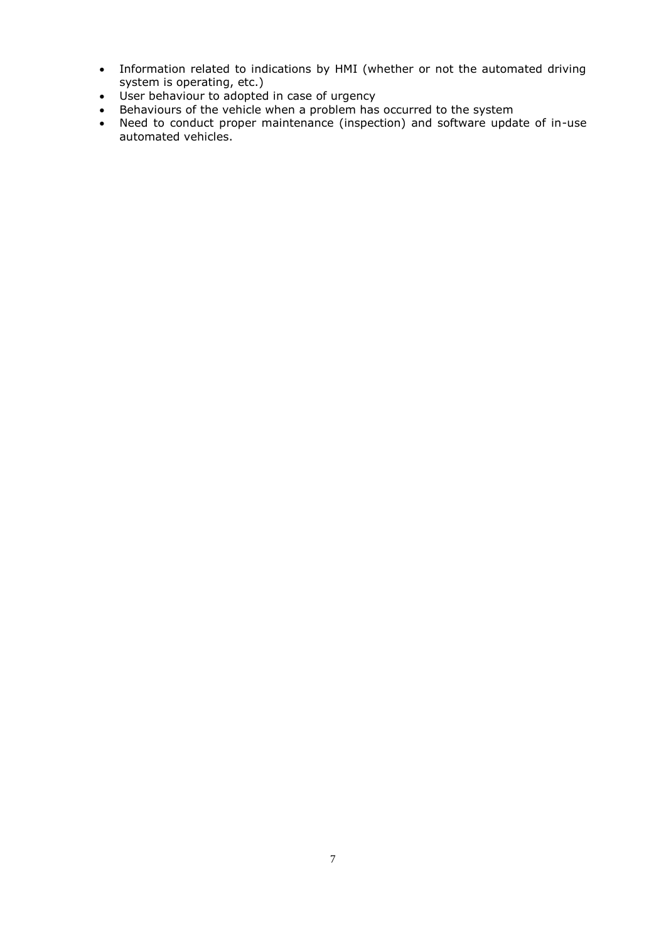- Information related to indications by HMI (whether or not the automated driving system is operating, etc.)
- User behaviour to adopted in case of urgency
- Behaviours of the vehicle when a problem has occurred to the system
- Need to conduct proper maintenance (inspection) and software update of in-use automated vehicles.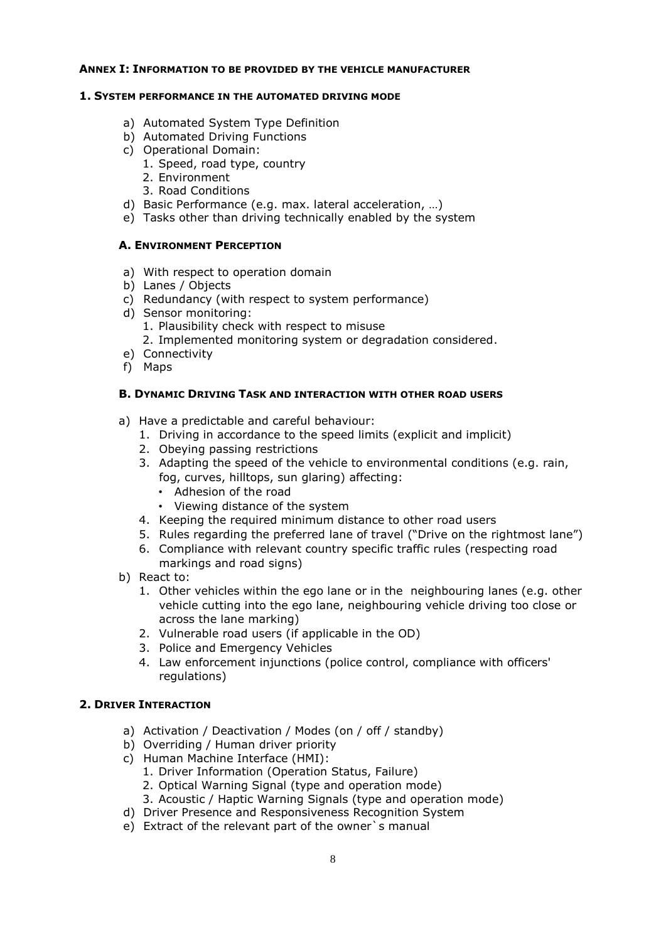#### **ANNEX I: INFORMATION TO BE PROVIDED BY THE VEHICLE MANUFACTURER**

#### **1. SYSTEM PERFORMANCE IN THE AUTOMATED DRIVING MODE**

- a) Automated System Type Definition
- b) Automated Driving Functions
- c) Operational Domain:
	- 1. Speed, road type, country
	- 2. Environment
	- 3. Road Conditions
- d) Basic Performance (e.g. max. lateral acceleration, …)
- e) Tasks other than driving technically enabled by the system

### **A. ENVIRONMENT PERCEPTION**

- a) With respect to operation domain
- b) Lanes / Objects
- c) Redundancy (with respect to system performance)
- d) Sensor monitoring:
	- 1. Plausibility check with respect to misuse
	- 2. Implemented monitoring system or degradation considered.
- e) Connectivity
- f) Maps

### **B. DYNAMIC DRIVING TASK AND INTERACTION WITH OTHER ROAD USERS**

- a) Have a predictable and careful behaviour:
	- 1. Driving in accordance to the speed limits (explicit and implicit)
	- 2. Obeying passing restrictions
	- 3. Adapting the speed of the vehicle to environmental conditions (e.g. rain, fog, curves, hilltops, sun glaring) affecting:
		- Adhesion of the road
		- Viewing distance of the system
	- 4. Keeping the required minimum distance to other road users
	- 5. Rules regarding the preferred lane of travel ("Drive on the rightmost lane")
	- 6. Compliance with relevant country specific traffic rules (respecting road markings and road signs)
- b) React to:
	- 1. Other vehicles within the ego lane or in the neighbouring lanes (e.g. other vehicle cutting into the ego lane, neighbouring vehicle driving too close or across the lane marking)
	- 2. Vulnerable road users (if applicable in the OD)
	- 3. Police and Emergency Vehicles
	- 4. Law enforcement injunctions (police control, compliance with officers' regulations)

# **2. DRIVER INTERACTION**

- a) Activation / Deactivation / Modes (on / off / standby)
- b) Overriding / Human driver priority
- c) Human Machine Interface (HMI):
	- 1. Driver Information (Operation Status, Failure)
	- 2. Optical Warning Signal (type and operation mode)
	- 3. Acoustic / Haptic Warning Signals (type and operation mode)
- d) Driver Presence and Responsiveness Recognition System
- e) Extract of the relevant part of the owner`s manual